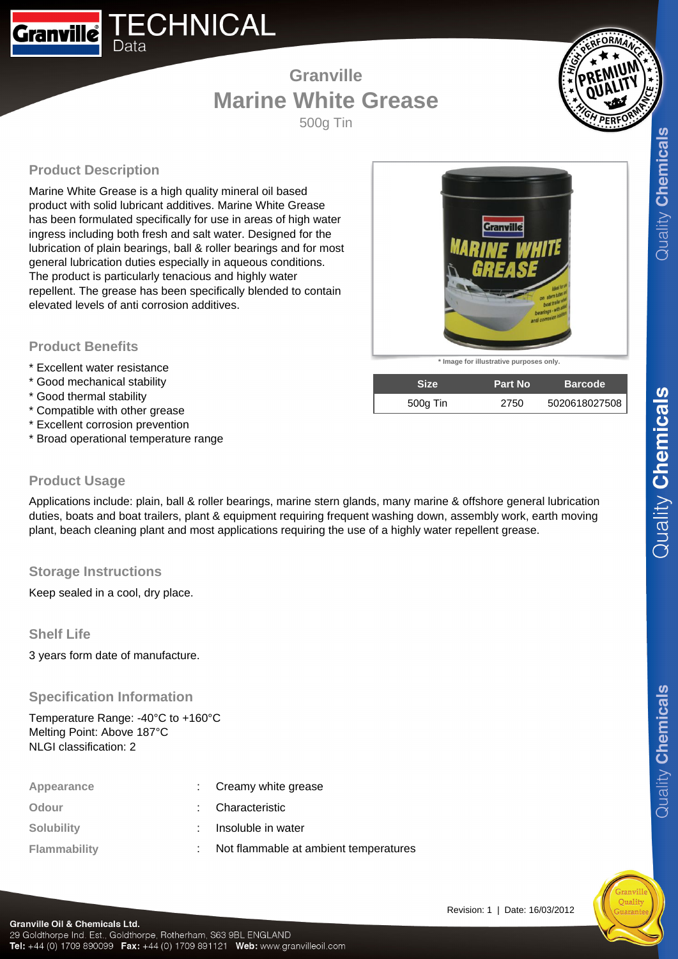# **Granville Marine White Grease**

500g Tin

# **Product Description**

Data

**Granville** 

Marine White Grease is a high quality mineral oil based product with solid lubricant additives. Marine White Grease has been formulated specifically for use in areas of high water ingress including both fresh and salt water. Designed for the lubrication of plain bearings, ball & roller bearings and for most general lubrication duties especially in aqueous conditions. The product is particularly tenacious and highly water repellent. The grease has been specifically blended to contain elevated levels of anti corrosion additives.

**ECHNICAL** 

#### **Product Benefits**

- \* Excellent water resistance
- \* Good mechanical stability
- \* Good thermal stability
- \* Compatible with other grease
- \* Excellent corrosion prevention
- \* Broad operational temperature range

## **\* Image for illustrative purposes only.**

| <b>Size</b> | <b>Part No</b> | <b>Barcode</b> |
|-------------|----------------|----------------|
| 500g Tin    | 2750           | 5020618027508  |

<u>Granville</u>

#### **Product Usage**

Applications include: plain, ball & roller bearings, marine stern glands, many marine & offshore general lubrication duties, boats and boat trailers, plant & equipment requiring frequent washing down, assembly work, earth moving plant, beach cleaning plant and most applications requiring the use of a highly water repellent grease.

## **Storage Instructions**

Keep sealed in a cool, dry place.

## **Shelf Life**

3 years form date of manufacture.

## **Specification Information**

Temperature Range: -40°C to +160°C Melting Point: Above 187°C NLGI classification: 2

| Appearance          | : Creamy white grease                 |
|---------------------|---------------------------------------|
| Odour               | : Characteristic                      |
| <b>Solubility</b>   | Insoluble in water                    |
| <b>Flammability</b> | Not flammable at ambient temperatures |

 $Quality$  Chemicals